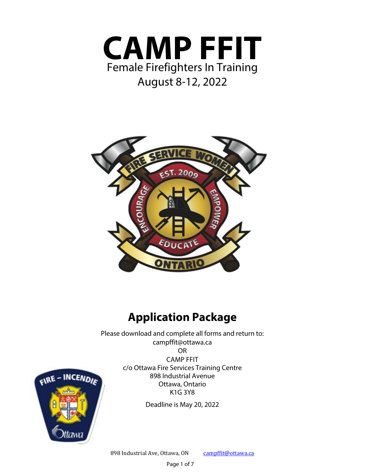



# **Application Package**

Please download and complete all forms and return to: campffit@ottawa.ca

OR

FIRE - INCENDIE

CAMP FFIT c/o Ottawa Fire Services Training Centre 898 Industrial Avenue Ottawa, Ontario K1G 3Y8

Deadline is May 20, 2022

898 Industrial Ave, Ottawa, ON campffit@ottawa.ca

Page 1 of 7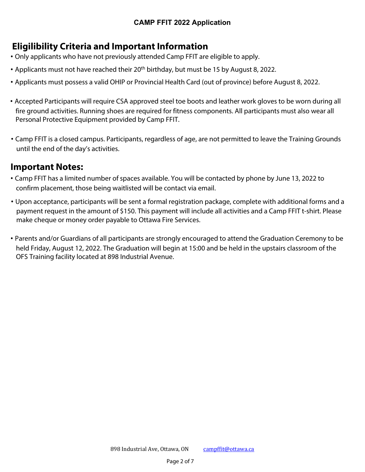## **CAMP FFIT 2022 Application**

## **Eligilibility Criteria and Important Information**

- **·** Only applicants who have not previously attended Camp FFIT are eligible to apply.
- **·** Applicants must not have reached their 20th birthday, but must be 15 by August 8, 2022.
- **·** Applicants must possess a valid OHIP or Provincial Health Card (out of province) before August 8, 2022.
- **·** Accepted Participants will require CSA approved steel toe boots and leather work gloves to be worn during all fire ground activities. Running shoes are required for fitness components. All participants must also wear all Personal Protective Equipment provided by Camp FFIT.
- **·** Camp FFIT is a closed campus. Participants, regardless of age, are not permitted to leave the Training Grounds until the end of the day's activities.

## **Important Notes:**

- **·** Camp FFIT has a limited number of spaces available. You will be contacted by phone by June 13, 2022 to confirm placement, those being waitlisted will be contact via email.
- **·** Upon acceptance, participants will be sent a formal registration package, complete with additional forms and a payment request in the amount of \$150. This payment will include all activities and a Camp FFIT t-shirt. Please make cheque or money order payable to Ottawa Fire Services.
- **·** Parents and/or Guardians of all participants are strongly encouraged to attend the Graduation Ceremony to be held Friday, August 12, 2022. The Graduation will begin at 15:00 and be held in the upstairs classroom of the OFS Training facility located at 898 Industrial Avenue.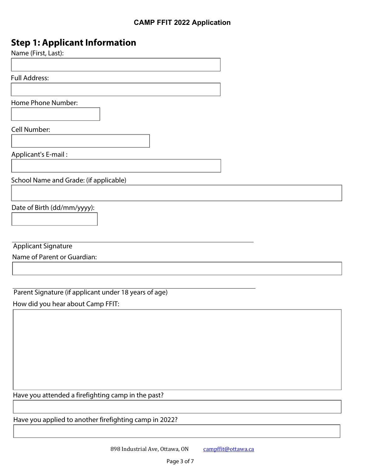## **Step 1: Applicant Information**

| Name (First, Last): |  |  |  |
|---------------------|--|--|--|
|---------------------|--|--|--|

Full Address:

Home Phone Number:

Cell Number:

Applicant's E-mail :

School Name and Grade: (if applicable)

Date of Birth (dd/mm/yyyy):

Applicant Signature

Name of Parent or Guardian:

Parent Signature (if applicant under 18 years of age)

How did you hear about Camp FFIT:

Have you attended a firefighting camp in the past?

Have you applied to another firefighting camp in 2022?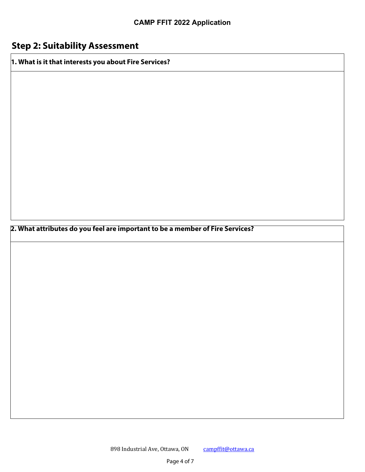# **Step 2: Suitability Assessment**

**1. What is it that interests you about Fire Services?**

**2. What attributes do you feel are important to be a member of Fire Services?**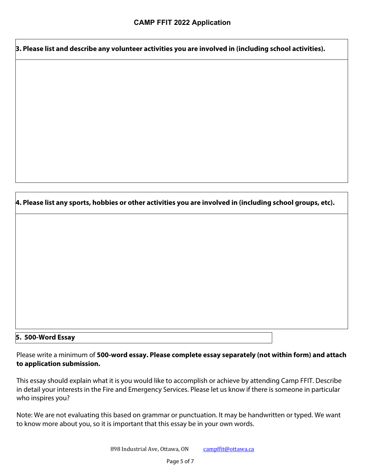**3. Please list and describe any volunteer activities you are involved in (including school activities).**

**4. Please list any sports, hobbies or other activities you are involved in (including school groups, etc).** 

#### **5. 500-Word Essay**

Please write a minimum of **500-word essay. Please complete essay separately (not within form) and attach to application submission.**

This essay should explain what it is you would like to accomplish or achieve by attending Camp FFIT. Describe in detail your interests in the Fire and Emergency Services. Please let us know if there is someone in particular who inspires you?

Note: We are not evaluating this based on grammar or punctuation. It may be handwritten or typed. We want to know more about you, so it is important that this essay be in your own words.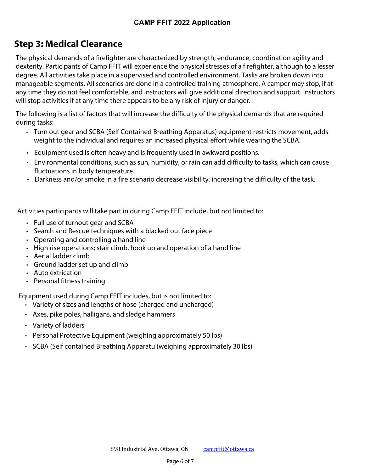## **CAMP FFIT 2022 Application**

# **Step 3: Medical Clearance**

The physical demands of a firefighter are characterized by strength, endurance, coordination agility and dexterity. Participants of Camp FFIT will experience the physical stresses of a firefighter, although to a lesser degree. All activities take place in a supervised and controlled environment. Tasks are broken down into manageable segments. All scenarios are done in a controlled training atmosphere. A camper may stop, if at any time they do not feel comfortable, and instructors will give additional direction and support. Instructors will stop activities if at any time there appears to be any risk of injury or danger.

The following is a list of factors that will increase the difficulty of the physical demands that are required during tasks:

- **·** Turn out gear and SCBA (Self Contained Breathing Apparatus) equipment restricts movement, adds weight to the individual and requires an increased physical effort while wearing the SCBA.
- **·** Equipment used is often heavy and is frequently used in awkward positions.
- **·** Environmental conditions, such as sun, humidity, or rain can add difficulty to tasks, which can cause fluctuations in body temperature.
- **·** Darkness and/or smoke in a fire scenario decrease visibility, increasing the difficulty of the task.

Activities participants will take part in during Camp FFIT include, but not limited to:

- **·** Full use of turnout gear and SCBA
- **·** Search and Rescue techniques with a blacked out face piece
- **·** Operating and controlling a hand line
- **·** High rise operations; stair climb, hook up and operation of a hand line
- **·** Aerial ladder climb
- **·** Ground ladder set up and climb
- **·** Auto extrication
- **·** Personal fitness training

Equipment used during Camp FFIT includes, but is not limited to:

- **·** Variety of sizes and lengths of hose (charged and uncharged)
- **·** Axes, pike poles, halligans, and sledge hammers
- **·** Variety of ladders
- **·** Personal Protective Equipment (weighing approximately 50 lbs)
- **·** SCBA (Self contained Breathing Apparatu (weighing approximately 30 lbs)